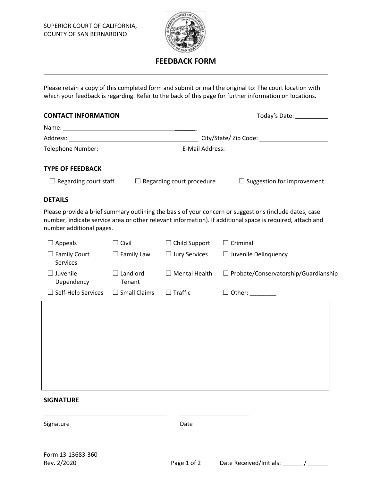

## **FEEDBACK FORM**

Please retain a copy of this completed form and submit or mail the original to: The court location with which your feedback is regarding. Refer to the back of this page for further information on locations.

| <b>CONTACT INFORMATION</b>          | Today's Date: ____________ |
|-------------------------------------|----------------------------|
|                                     |                            |
|                                     |                            |
| Telephone Number: Telephone Number: |                            |
| <b>TYPE OF FEEDBACK</b>             |                            |

☐ Regarding court staff ☐ Regarding court procedure ☐ Suggestion for improvement

## **DETAILS**

Please provide a brief summary outlining the basis of your concern or suggestions (include dates, case number, indicate service area or other relevant information). If additional space is required, attach and number additional pages.

| $\Box$ Appeals                   | $\Box$ Civil              | $\Box$ Child Support | $\Box$ Criminal                             |
|----------------------------------|---------------------------|----------------------|---------------------------------------------|
| $\Box$ Family Court<br>Services  | $\Box$ Family Law         | $\Box$ Jury Services | $\Box$ Juvenile Delinquency                 |
| Juvenile<br>$\Box$<br>Dependency | $\Box$ Landlord<br>Tenant | <b>Mental Health</b> | $\Box$ Probate/Conservatorship/Guardianship |
| $\Box$ Self-Help Services        | $\Box$ Small Claims       | $\Box$ Traffic       | $\Box$ Other: _________                     |
|                                  |                           |                      |                                             |
|                                  |                           |                      |                                             |
|                                  |                           |                      |                                             |
|                                  |                           |                      |                                             |
|                                  |                           |                      |                                             |
|                                  |                           |                      |                                             |
|                                  |                           |                      |                                             |
| <b>SIGNATURE</b>                 |                           |                      |                                             |
| Signature                        |                           | Date                 |                                             |
|                                  |                           |                      |                                             |